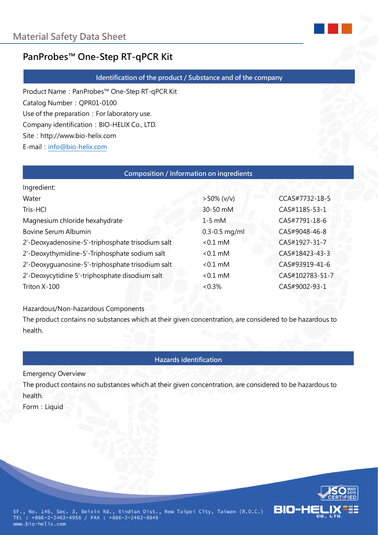

# **PanProbes™ One-Step RT-qPCR Kit**

#### **Identification of the product / Substance and of the company**

Product Name: PanProbes™ One-Step RT-qPCR Kit Catalog Number:QPR01-0100 Use of the preparation: For laboratory use. Company identification: BIO-HELIX Co., LTD. Site: http://www.bio-helix.com E-mail: [info@bio-helix.com](mailto:info@bio-helix.com)

#### **Composition / Information on ingredients**

| Ingredient:                                      |                   |                 |
|--------------------------------------------------|-------------------|-----------------|
| Water                                            | $>50\%$ (v/v)     | CCAS#7732-18-5  |
| Tris-HCl                                         | 30-50 mM          | CAS#1185-53-1   |
| Magnesium chloride hexahydrate                   | $1-5$ mM          | CAS#7791-18-6   |
| Bovine Serum Albumin                             | $0.3 - 0.5$ mg/ml | CAS#9048-46-8   |
| 2'-Deoxyadenosine-5'-triphosphate trisodium salt | $< 0.1$ mM        | CAS#1927-31-7   |
| 2'-Deoxythymidine-5'-Triphosphate sodium salt    | $< 0.1$ mM        | CAS#18423-43-3  |
| 2'-Deoxyguanosine-5'-triphosphate trisodium salt | $< 0.1$ mM        | CAS#93919-41-6  |
| 2'-Deoxycytidine 5'-triphosphate disodium salt   | $< 0.1$ mM        | CAS#102783-51-7 |
| Triton X-100                                     | < 0.3%            | CAS#9002-93-1   |

Hazardous/Non-hazardous Components

The product contains no substances which at their given concentration, are considered to be hazardous to health.

#### **Hazards identification**

Emergency Overview

The product contains no substances which at their given concentration, are considered to be hazardous to health.

Form: Liquid

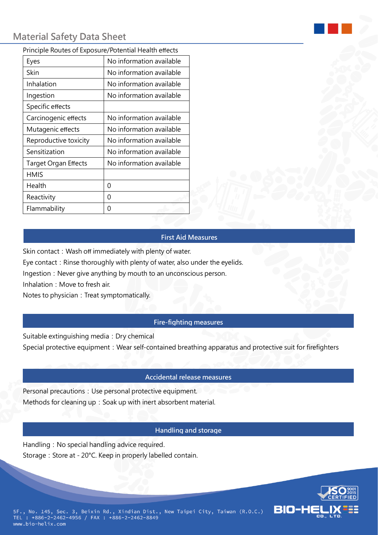#### Principle Routes of Exposure/Potential Health effects

| Eyes                        | No information available |
|-----------------------------|--------------------------|
| Skin                        | No information available |
| Inhalation                  | No information available |
| Ingestion                   | No information available |
| Specific effects            |                          |
| Carcinogenic effects        | No information available |
| Mutagenic effects           | No information available |
| Reproductive toxicity       | No information available |
| Sensitization               | No information available |
| <b>Target Organ Effects</b> | No information available |
| <b>HMIS</b>                 |                          |
| Health                      | 0                        |
| Reactivity                  | 0                        |
| Flammability                | 0                        |

#### **First Aid Measures**

Skin contact: Wash off immediately with plenty of water.

Eye contact: Rinse thoroughly with plenty of water, also under the eyelids.

Ingestion: Never give anything by mouth to an unconscious person.

Inhalation: Move to fresh air.

Notes to physician: Treat symptomatically.

## **Fire-fighting measures**

Suitable extinguishing media: Dry chemical

Special protective equipment: Wear self-contained breathing apparatus and protective suit for firefighters

## **Accidental release measures**

Personal precautions: Use personal protective equipment. Methods for cleaning up: Soak up with inert absorbent material.

## **Handling and storage**

Handling: No special handling advice required. Storage: Store at - 20°C. Keep in properly labelled contain.

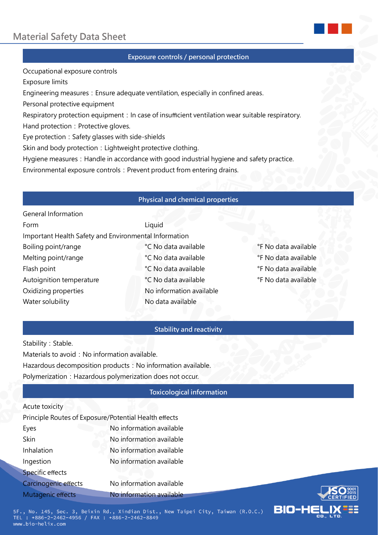

## **Exposure controls / personal protection**

Occupational exposure controls

Exposure limits

Engineering measures: Ensure adequate ventilation, especially in confined areas.

Personal protective equipment

General Information

Respiratory protection equipment: In case of insufficient ventilation wear suitable respiratory.

Hand protection: Protective gloves.

Eye protection: Safety glasses with side-shields

Skin and body protection: Lightweight protective clothing.

Hygiene measures: Handle in accordance with good industrial hygiene and safety practice.

Environmental exposure controls: Prevent product from entering drains.

## **Physical and chemical properties**

| <u>General information</u>                            |                          |                      |
|-------------------------------------------------------|--------------------------|----------------------|
| Form                                                  | Liquid                   |                      |
| Important Health Safety and Environmental Information |                          |                      |
| Boiling point/range                                   | °C No data available     | °F No data available |
| Melting point/range                                   | °C No data available     | °F No data available |
| Flash point                                           | °C No data available     | °F No data available |
| Autoignition temperature                              | °C No data available     | °F No data available |
| Oxidizing properties                                  | No information available |                      |
| Water solubility                                      | No data available        |                      |
|                                                       |                          |                      |

#### **Stability and reactivity**

Stability: Stable. Materials to avoid: No information available. Hazardous decomposition products: No information available. Polymerization: Hazardous polymerization does not occur.

#### **Toxicological information**

#### Acute toxicity

| Principle Routes of Exposure/Potential Health effects |                          |  |
|-------------------------------------------------------|--------------------------|--|
| Eyes                                                  | No information available |  |
| <b>Skin</b>                                           | No information available |  |
| Inhalation                                            | No information available |  |
| Ingestion                                             | No information available |  |
| Specific effects                                      |                          |  |
| Carcinogenic effects                                  | No information available |  |
| Mutagenic effects                                     | No information available |  |



5F., No. 145, Sec. 3, Beixin Rd., Xindian Dist., New Taipei City, Taiwan (R.O.C.) TEL : +886-2-2462-4956 / FAX : +886-2-2462-8849 www.bio-helix.com